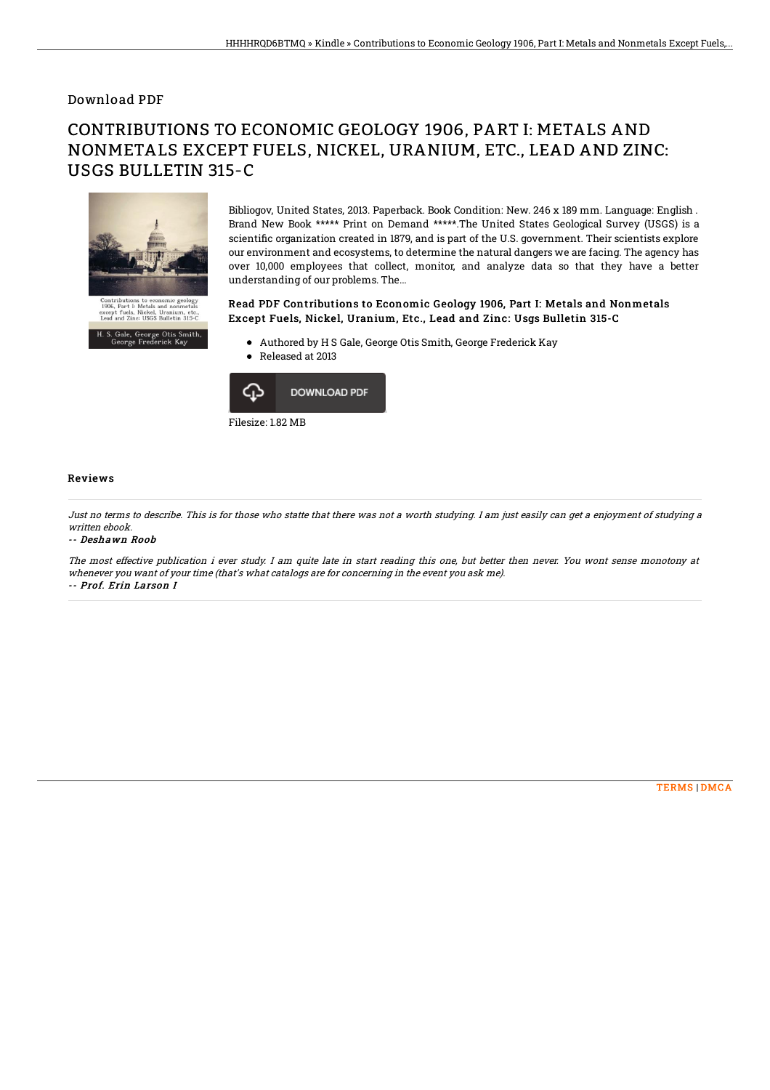### Download PDF

# CONTRIBUTIONS TO ECONOMIC GEOLOGY 1906, PART I: METALS AND NONMETALS EXCEPT FUELS, NICKEL, URANIUM, ETC., LEAD AND ZINC: USGS BULLETIN 315-C



Bibliogov, United States, 2013. Paperback. Book Condition: New. 246 x 189 mm. Language: English . Brand New Book \*\*\*\*\* Print on Demand \*\*\*\*\*.The United States Geological Survey (USGS) is a scientific organization created in 1879, and is part of the U.S. government. Their scientists explore our environment and ecosystems, to determine the natural dangers we are facing. The agency has over 10,000 employees that collect, monitor, and analyze data so that they have a better understanding of our problems. The...

#### Read PDF Contributions to Economic Geology 1906, Part I: Metals and Nonmetals Except Fuels, Nickel, Uranium, Etc., Lead and Zinc: Usgs Bulletin 315-C

- Authored by H S Gale, George Otis Smith, George Frederick Kay
- Released at 2013



#### Reviews

Just no terms to describe. This is for those who statte that there was not <sup>a</sup> worth studying. I am just easily can get <sup>a</sup> enjoyment of studying <sup>a</sup> written ebook.

-- Deshawn Roob

The most effective publication i ever study. I am quite late in start reading this one, but better then never. You wont sense monotony at whenever you want of your time (that's what catalogs are for concerning in the event you ask me). -- Prof. Erin Larson I